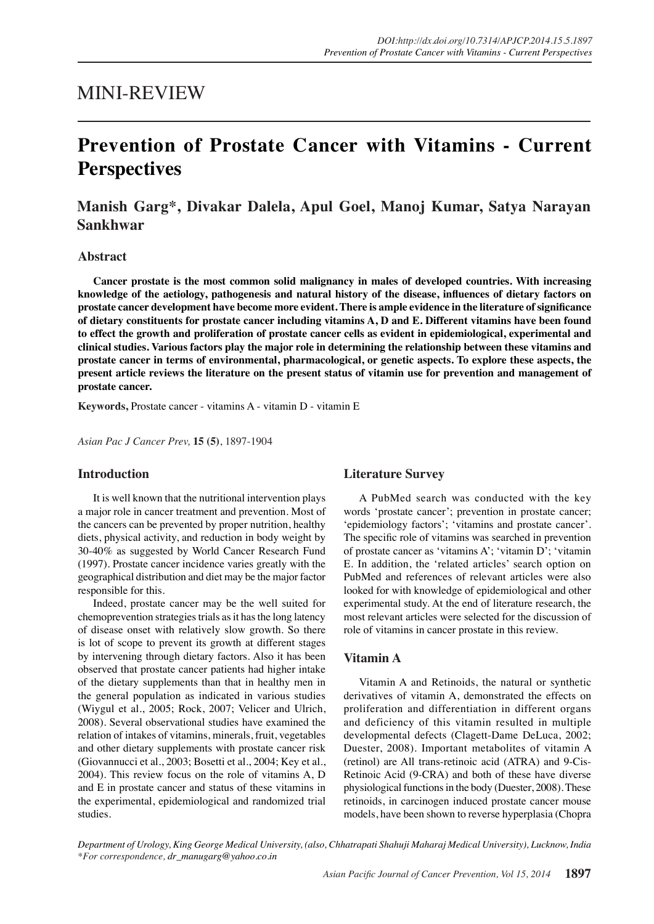## MINI-REVIEW

# **Prevention of Prostate Cancer with Vitamins - Current Perspectives**

**Manish Garg\*, Divakar Dalela, Apul Goel, Manoj Kumar, Satya Narayan Sankhwar**

#### **Abstract**

**Cancer prostate is the most common solid malignancy in males of developed countries. With increasing knowledge of the aetiology, pathogenesis and natural history of the disease, influences of dietary factors on prostate cancer development have become more evident. There is ample evidence in the literature of significance of dietary constituents for prostate cancer including vitamins A, D and E. Different vitamins have been found to effect the growth and proliferation of prostate cancer cells as evident in epidemiological, experimental and clinical studies. Various factors play the major role in determining the relationship between these vitamins and prostate cancer in terms of environmental, pharmacological, or genetic aspects. To explore these aspects, the present article reviews the literature on the present status of vitamin use for prevention and management of prostate cancer.**

**Keywords,** Prostate cancer - vitamins A - vitamin D - vitamin E

*Asian Pac J Cancer Prev,* **15 (5)**, 1897-1904

## **Introduction**

It is well known that the nutritional intervention plays a major role in cancer treatment and prevention. Most of the cancers can be prevented by proper nutrition, healthy diets, physical activity, and reduction in body weight by 30-40% as suggested by World Cancer Research Fund (1997). Prostate cancer incidence varies greatly with the geographical distribution and diet may be the major factor responsible for this.

Indeed, prostate cancer may be the well suited for chemoprevention strategies trials as it has the long latency of disease onset with relatively slow growth. So there is lot of scope to prevent its growth at different stages by intervening through dietary factors. Also it has been observed that prostate cancer patients had higher intake of the dietary supplements than that in healthy men in the general population as indicated in various studies (Wiygul et al., 2005; Rock, 2007; Velicer and Ulrich, 2008). Several observational studies have examined the relation of intakes of vitamins, minerals, fruit, vegetables and other dietary supplements with prostate cancer risk (Giovannucci et al., 2003; Bosetti et al., 2004; Key et al., 2004). This review focus on the role of vitamins A, D and E in prostate cancer and status of these vitamins in the experimental, epidemiological and randomized trial studies.

## **Literature Survey**

A PubMed search was conducted with the key words 'prostate cancer'; prevention in prostate cancer; 'epidemiology factors'; 'vitamins and prostate cancer'. The specific role of vitamins was searched in prevention of prostate cancer as 'vitamins A'; 'vitamin D'; 'vitamin E. In addition, the 'related articles' search option on PubMed and references of relevant articles were also looked for with knowledge of epidemiological and other experimental study. At the end of literature research, the most relevant articles were selected for the discussion of role of vitamins in cancer prostate in this review.

## **Vitamin A**

Vitamin A and Retinoids, the natural or synthetic derivatives of vitamin A, demonstrated the effects on proliferation and differentiation in different organs and deficiency of this vitamin resulted in multiple developmental defects (Clagett-Dame DeLuca, 2002; Duester, 2008). Important metabolites of vitamin A (retinol) are All trans-retinoic acid (ATRA) and 9-Cis-Retinoic Acid (9-CRA) and both of these have diverse physiological functions in the body (Duester, 2008). These retinoids, in carcinogen induced prostate cancer mouse models, have been shown to reverse hyperplasia (Chopra

*Department of Urology, King George Medical University, (also, Chhatrapati Shahuji Maharaj Medical University), Lucknow, India \*For correspondence, dr\_manugarg@yahoo.co.in*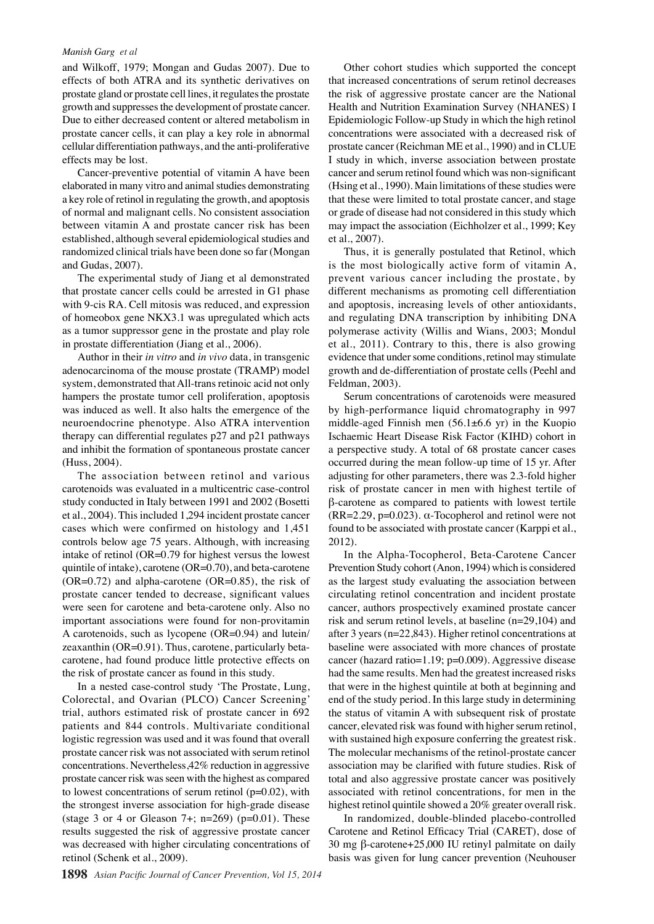and Wilkoff, 1979; Mongan and Gudas 2007). Due to effects of both ATRA and its synthetic derivatives on prostate gland or prostate cell lines, it regulates the prostate growth and suppresses the development of prostate cancer. Due to either decreased content or altered metabolism in prostate cancer cells, it can play a key role in abnormal cellular differentiation pathways, and the anti-proliferative effects may be lost.

Cancer-preventive potential of vitamin A have been elaborated in many vitro and animal studies demonstrating a key role of retinol in regulating the growth, and apoptosis of normal and malignant cells. No consistent association between vitamin A and prostate cancer risk has been established, although several epidemiological studies and randomized clinical trials have been done so far (Mongan and Gudas, 2007).

The experimental study of Jiang et al demonstrated that prostate cancer cells could be arrested in G1 phase with 9-cis RA. Cell mitosis was reduced, and expression of homeobox gene NKX3.1 was upregulated which acts as a tumor suppressor gene in the prostate and play role in prostate differentiation (Jiang et al., 2006).

Author in their *in vitro* and *in vivo* data, in transgenic adenocarcinoma of the mouse prostate (TRAMP) model system, demonstrated that All-trans retinoic acid not only hampers the prostate tumor cell proliferation, apoptosis was induced as well. It also halts the emergence of the neuroendocrine phenotype. Also ATRA intervention therapy can differential regulates p27 and p21 pathways and inhibit the formation of spontaneous prostate cancer (Huss, 2004).

The association between retinol and various carotenoids was evaluated in a multicentric case-control study conducted in Italy between 1991 and 2002 (Bosetti et al., 2004). This included 1,294 incident prostate cancer cases which were confirmed on histology and 1,451 controls below age 75 years. Although, with increasing intake of retinol (OR=0.79 for highest versus the lowest quintile of intake), carotene (OR=0.70), and beta-carotene  $(OR=0.72)$  and alpha-carotene  $(OR=0.85)$ , the risk of prostate cancer tended to decrease, significant values were seen for carotene and beta-carotene only. Also no important associations were found for non-provitamin A carotenoids, such as lycopene (OR=0.94) and lutein/ zeaxanthin (OR=0.91). Thus, carotene, particularly betacarotene, had found produce little protective effects on the risk of prostate cancer as found in this study.

In a nested case-control study 'The Prostate, Lung, Colorectal, and Ovarian (PLCO) Cancer Screening' trial, authors estimated risk of prostate cancer in 692 patients and 844 controls. Multivariate conditional logistic regression was used and it was found that overall prostate cancer risk was not associated with serum retinol concentrations. Nevertheless,42% reduction in aggressive prostate cancer risk was seen with the highest as compared to lowest concentrations of serum retinol  $(p=0.02)$ , with the strongest inverse association for high-grade disease (stage 3 or 4 or Gleason 7+; n=269) ( $p=0.01$ ). These results suggested the risk of aggressive prostate cancer was decreased with higher circulating concentrations of retinol (Schenk et al., 2009).

Other cohort studies which supported the concept that increased concentrations of serum retinol decreases the risk of aggressive prostate cancer are the National Health and Nutrition Examination Survey (NHANES) I Epidemiologic Follow-up Study in which the high retinol concentrations were associated with a decreased risk of prostate cancer (Reichman ME et al., 1990) and in CLUE I study in which, inverse association between prostate cancer and serum retinol found which was non-significant (Hsing et al., 1990). Main limitations of these studies were that these were limited to total prostate cancer, and stage or grade of disease had not considered in this study which may impact the association (Eichholzer et al., 1999; Key et al., 2007).

Thus, it is generally postulated that Retinol, which is the most biologically active form of vitamin A, prevent various cancer including the prostate, by different mechanisms as promoting cell differentiation and apoptosis, increasing levels of other antioxidants, and regulating DNA transcription by inhibiting DNA polymerase activity (Willis and Wians, 2003; Mondul et al., 2011). Contrary to this, there is also growing evidence that under some conditions, retinol may stimulate growth and de-differentiation of prostate cells (Peehl and Feldman, 2003).

Serum concentrations of carotenoids were measured by high-performance liquid chromatography in 997 middle-aged Finnish men (56.1±6.6 yr) in the Kuopio Ischaemic Heart Disease Risk Factor (KIHD) cohort in a perspective study. A total of 68 prostate cancer cases occurred during the mean follow-up time of 15 yr. After adjusting for other parameters, there was 2.3-fold higher risk of prostate cancer in men with highest tertile of β-carotene as compared to patients with lowest tertile (RR=2.29, p=0.023).  $\alpha$ -Tocopherol and retinol were not found to be associated with prostate cancer (Karppi et al., 2012).

In the Alpha-Tocopherol, Beta-Carotene Cancer Prevention Study cohort (Anon, 1994) which is considered as the largest study evaluating the association between circulating retinol concentration and incident prostate cancer, authors prospectively examined prostate cancer risk and serum retinol levels, at baseline (n=29,104) and after 3 years (n=22,843). Higher retinol concentrations at baseline were associated with more chances of prostate cancer (hazard ratio=1.19; p=0.009). Aggressive disease had the same results. Men had the greatest increased risks that were in the highest quintile at both at beginning and end of the study period. In this large study in determining the status of vitamin A with subsequent risk of prostate cancer, elevated risk was found with higher serum retinol, with sustained high exposure conferring the greatest risk. The molecular mechanisms of the retinol-prostate cancer association may be clarified with future studies. Risk of total and also aggressive prostate cancer was positively associated with retinol concentrations, for men in the highest retinol quintile showed a 20% greater overall risk.

In randomized, double-blinded placebo-controlled Carotene and Retinol Efficacy Trial (CARET), dose of 30 mg β-carotene+25,000 IU retinyl palmitate on daily basis was given for lung cancer prevention (Neuhouser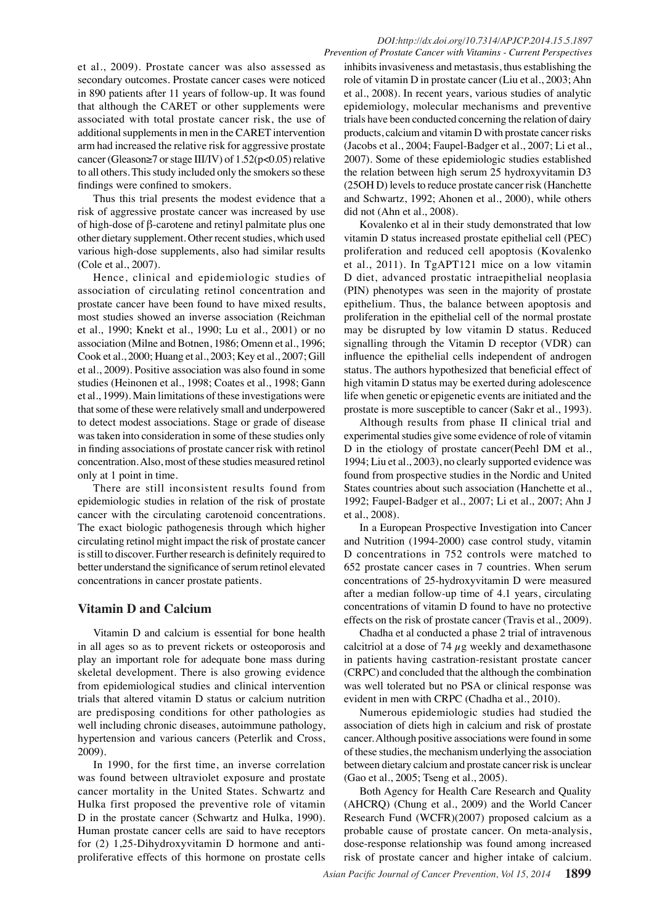et al., 2009). Prostate cancer was also assessed as secondary outcomes. Prostate cancer cases were noticed in 890 patients after 11 years of follow-up. It was found that although the CARET or other supplements were associated with total prostate cancer risk, the use of additional supplements in men in the CARET intervention arm had increased the relative risk for aggressive prostate cancer (Gleason≥7 or stage III/IV) of 1.52(p<0.05) relative to all others. This study included only the smokers so these findings were confined to smokers.

Thus this trial presents the modest evidence that a risk of aggressive prostate cancer was increased by use of high-dose of β-carotene and retinyl palmitate plus one other dietary supplement. Other recent studies, which used various high-dose supplements, also had similar results (Cole et al., 2007).

Hence, clinical and epidemiologic studies of association of circulating retinol concentration and prostate cancer have been found to have mixed results, most studies showed an inverse association (Reichman et al., 1990; Knekt et al., 1990; Lu et al., 2001) or no association (Milne and Botnen, 1986; Omenn et al., 1996; Cook et al., 2000; Huang et al., 2003; Key et al., 2007; Gill et al., 2009). Positive association was also found in some studies (Heinonen et al., 1998; Coates et al., 1998; Gann et al., 1999). Main limitations of these investigations were that some of these were relatively small and underpowered to detect modest associations. Stage or grade of disease was taken into consideration in some of these studies only in finding associations of prostate cancer risk with retinol concentration. Also, most of these studies measured retinol only at 1 point in time.

There are still inconsistent results found from epidemiologic studies in relation of the risk of prostate cancer with the circulating carotenoid concentrations. The exact biologic pathogenesis through which higher circulating retinol might impact the risk of prostate cancer is still to discover. Further research is definitely required to better understand the significance of serum retinol elevated concentrations in cancer prostate patients.

## **Vitamin D and Calcium**

Vitamin D and calcium is essential for bone health in all ages so as to prevent rickets or osteoporosis and play an important role for adequate bone mass during skeletal development. There is also growing evidence from epidemiological studies and clinical intervention trials that altered vitamin D status or calcium nutrition are predisposing conditions for other pathologies as well including chronic diseases, autoimmune pathology, hypertension and various cancers (Peterlik and Cross, 2009).

In 1990, for the first time, an inverse correlation was found between ultraviolet exposure and prostate cancer mortality in the United States. Schwartz and Hulka first proposed the preventive role of vitamin D in the prostate cancer (Schwartz and Hulka, 1990). Human prostate cancer cells are said to have receptors for (2) 1,25-Dihydroxyvitamin D hormone and antiproliferative effects of this hormone on prostate cells

inhibits invasiveness and metastasis, thus establishing the role of vitamin D in prostate cancer (Liu et al., 2003; Ahn et al., 2008). In recent years, various studies of analytic epidemiology, molecular mechanisms and preventive trials have been conducted concerning the relation of dairy products, calcium and vitamin D with prostate cancer risks (Jacobs et al., 2004; Faupel-Badger et al., 2007; Li et al., 2007). Some of these epidemiologic studies established the relation between high serum 25 hydroxyvitamin D3 (25OH D) levels to reduce prostate cancer risk (Hanchette and Schwartz, 1992; Ahonen et al., 2000), while others did not (Ahn et al., 2008).

Kovalenko et al in their study demonstrated that low vitamin D status increased prostate epithelial cell (PEC) proliferation and reduced cell apoptosis (Kovalenko et al., 2011). In TgAPT121 mice on a low vitamin D diet, advanced prostatic intraepithelial neoplasia (PIN) phenotypes was seen in the majority of prostate epithelium. Thus, the balance between apoptosis and proliferation in the epithelial cell of the normal prostate may be disrupted by low vitamin D status. Reduced signalling through the Vitamin D receptor (VDR) can influence the epithelial cells independent of androgen status. The authors hypothesized that beneficial effect of high vitamin D status may be exerted during adolescence life when genetic or epigenetic events are initiated and the prostate is more susceptible to cancer (Sakr et al., 1993).

Although results from phase II clinical trial and experimental studies give some evidence of role of vitamin D in the etiology of prostate cancer(Peehl DM et al., 1994; Liu et al., 2003), no clearly supported evidence was found from prospective studies in the Nordic and United States countries about such association (Hanchette et al., 1992; Faupel-Badger et al., 2007; Li et al., 2007; Ahn J et al., 2008).

In a European Prospective Investigation into Cancer and Nutrition (1994-2000) case control study, vitamin D concentrations in 752 controls were matched to 652 prostate cancer cases in 7 countries. When serum concentrations of 25-hydroxyvitamin D were measured after a median follow-up time of 4.1 years, circulating concentrations of vitamin D found to have no protective effects on the risk of prostate cancer (Travis et al., 2009).

Chadha et al conducted a phase 2 trial of intravenous calcitriol at a dose of 74  $\mu$ g weekly and dexamethasone in patients having castration-resistant prostate cancer (CRPC) and concluded that the although the combination was well tolerated but no PSA or clinical response was evident in men with CRPC (Chadha et al., 2010).

Numerous epidemiologic studies had studied the association of diets high in calcium and risk of prostate cancer. Although positive associations were found in some of these studies, the mechanism underlying the association between dietary calcium and prostate cancer risk is unclear (Gao et al., 2005; Tseng et al., 2005).

Both Agency for Health Care Research and Quality (AHCRQ) (Chung et al., 2009) and the World Cancer Research Fund (WCFR)(2007) proposed calcium as a probable cause of prostate cancer. On meta-analysis, dose-response relationship was found among increased risk of prostate cancer and higher intake of calcium.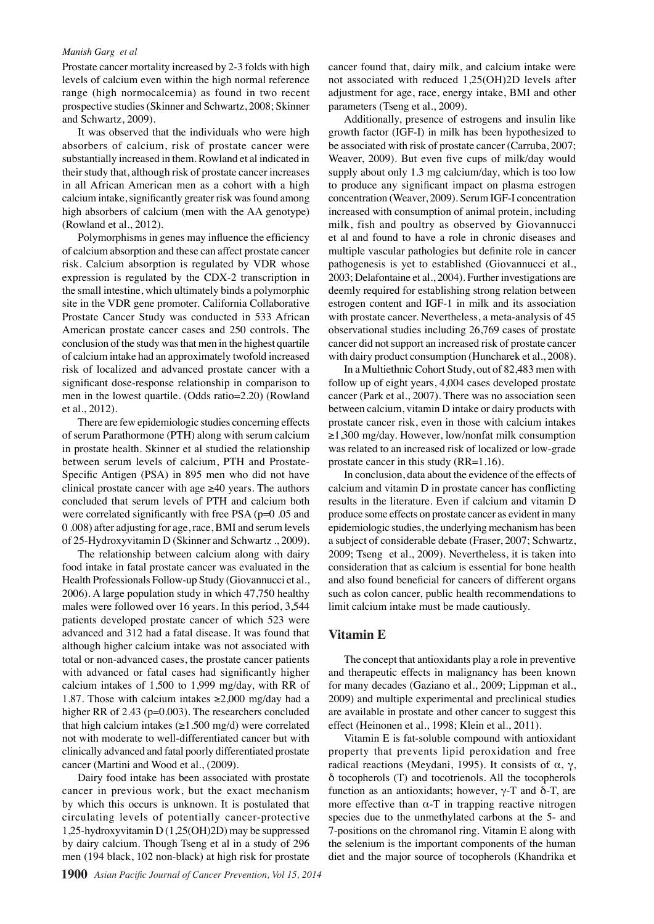Prostate cancer mortality increased by 2-3 folds with high levels of calcium even within the high normal reference range (high normocalcemia) as found in two recent prospective studies (Skinner and Schwartz, 2008; Skinner and Schwartz, 2009).

It was observed that the individuals who were high absorbers of calcium, risk of prostate cancer were substantially increased in them. Rowland et al indicated in their study that, although risk of prostate cancer increases in all African American men as a cohort with a high calcium intake, significantly greater risk was found among high absorbers of calcium (men with the AA genotype) (Rowland et al., 2012).

Polymorphisms in genes may influence the efficiency of calcium absorption and these can affect prostate cancer risk. Calcium absorption is regulated by VDR whose expression is regulated by the CDX-2 transcription in the small intestine, which ultimately binds a polymorphic site in the VDR gene promoter. California Collaborative Prostate Cancer Study was conducted in 533 African American prostate cancer cases and 250 controls. The conclusion of the study was that men in the highest quartile of calcium intake had an approximately twofold increased risk of localized and advanced prostate cancer with a significant dose-response relationship in comparison to men in the lowest quartile. (Odds ratio=2.20) (Rowland et al., 2012).

There are few epidemiologic studies concerning effects of serum Parathormone (PTH) along with serum calcium in prostate health. Skinner et al studied the relationship between serum levels of calcium, PTH and Prostate-Specific Antigen (PSA) in 895 men who did not have clinical prostate cancer with age  $\geq 40$  years. The authors concluded that serum levels of PTH and calcium both were correlated significantly with free PSA (p=0 .05 and 0 .008) after adjusting for age, race, BMI and serum levels of 25-Hydroxyvitamin D (Skinner and Schwartz ., 2009).

The relationship between calcium along with dairy food intake in fatal prostate cancer was evaluated in the Health Professionals Follow-up Study (Giovannucci et al., 2006). A large population study in which 47,750 healthy males were followed over 16 years. In this period, 3,544 patients developed prostate cancer of which 523 were advanced and 312 had a fatal disease. It was found that although higher calcium intake was not associated with total or non-advanced cases, the prostate cancer patients with advanced or fatal cases had significantly higher calcium intakes of 1,500 to 1,999 mg/day, with RR of 1.87. Those with calcium intakes  $\geq 2,000$  mg/day had a higher RR of 2.43 (p=0.003). The researchers concluded that high calcium intakes ( $\geq$ 1.500 mg/d) were correlated not with moderate to well-differentiated cancer but with clinically advanced and fatal poorly differentiated prostate cancer (Martini and Wood et al., (2009).

Dairy food intake has been associated with prostate cancer in previous work, but the exact mechanism by which this occurs is unknown. It is postulated that circulating levels of potentially cancer-protective 1,25-hydroxyvitamin D (1,25(OH)2D) may be suppressed by dairy calcium. Though Tseng et al in a study of 296 men (194 black, 102 non-black) at high risk for prostate

cancer found that, dairy milk, and calcium intake were not associated with reduced 1,25(OH)2D levels after adjustment for age, race, energy intake, BMI and other parameters (Tseng et al., 2009).

Additionally, presence of estrogens and insulin like growth factor (IGF-I) in milk has been hypothesized to be associated with risk of prostate cancer (Carruba, 2007; Weaver, 2009). But even five cups of milk/day would supply about only 1.3 mg calcium/day, which is too low to produce any significant impact on plasma estrogen concentration (Weaver, 2009). Serum IGF-I concentration increased with consumption of animal protein, including milk, fish and poultry as observed by Giovannucci et al and found to have a role in chronic diseases and multiple vascular pathologies but definite role in cancer pathogenesis is yet to established (Giovannucci et al., 2003; Delafontaine et al., 2004). Further investigations are deemly required for establishing strong relation between estrogen content and IGF-1 in milk and its association with prostate cancer. Nevertheless, a meta-analysis of 45 observational studies including 26,769 cases of prostate cancer did not support an increased risk of prostate cancer with dairy product consumption (Huncharek et al., 2008).

In a Multiethnic Cohort Study, out of 82,483 men with follow up of eight years, 4,004 cases developed prostate cancer (Park et al., 2007). There was no association seen between calcium, vitamin D intake or dairy products with prostate cancer risk, even in those with calcium intakes ≥1,300 mg/day. However, low/nonfat milk consumption was related to an increased risk of localized or low-grade prostate cancer in this study (RR=1.16).

In conclusion, data about the evidence of the effects of calcium and vitamin D in prostate cancer has conflicting results in the literature. Even if calcium and vitamin D produce some effects on prostate cancer as evident in many epidemiologic studies, the underlying mechanism has been a subject of considerable debate (Fraser, 2007; Schwartz, 2009; Tseng et al., 2009). Nevertheless, it is taken into consideration that as calcium is essential for bone health and also found beneficial for cancers of different organs such as colon cancer, public health recommendations to limit calcium intake must be made cautiously.

#### **Vitamin E**

The concept that antioxidants play a role in preventive and therapeutic effects in malignancy has been known for many decades (Gaziano et al., 2009; Lippman et al., 2009) and multiple experimental and preclinical studies are available in prostate and other cancer to suggest this effect (Heinonen et al., 1998; Klein et al., 2011).

Vitamin E is fat-soluble compound with antioxidant property that prevents lipid peroxidation and free radical reactions (Meydani, 1995). It consists of α, γ, δ tocopherols (T) and tocotrienols. All the tocopherols function as an antioxidants; however, γ-T and δ-T, are more effective than  $\alpha$ -T in trapping reactive nitrogen species due to the unmethylated carbons at the 5- and 7-positions on the chromanol ring. Vitamin E along with the selenium is the important components of the human diet and the major source of tocopherols (Khandrika et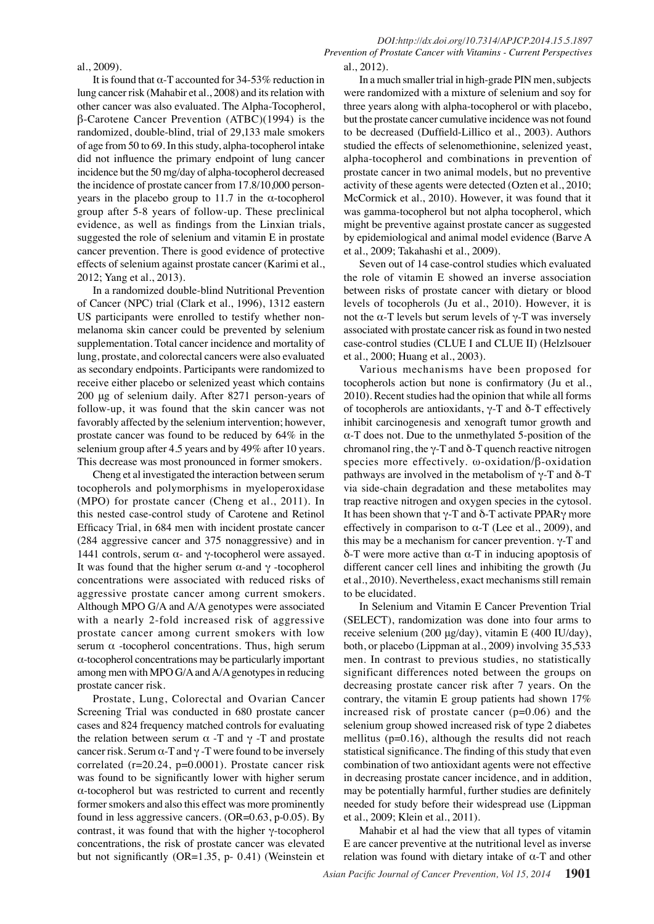#### al., 2009).

It is found that  $\alpha$ -T accounted for 34-53% reduction in lung cancer risk (Mahabir et al., 2008) and its relation with other cancer was also evaluated. The Alpha-Tocopherol, β-Carotene Cancer Prevention (ATBC)(1994) is the randomized, double-blind, trial of 29,133 male smokers of age from 50 to 69. In this study, alpha-tocopherol intake did not influence the primary endpoint of lung cancer incidence but the 50 mg/day of alpha-tocopherol decreased the incidence of prostate cancer from 17.8/10,000 personyears in the placebo group to 11.7 in the α-tocopherol group after 5-8 years of follow-up. These preclinical evidence, as well as findings from the Linxian trials, suggested the role of selenium and vitamin E in prostate cancer prevention. There is good evidence of protective effects of selenium against prostate cancer (Karimi et al., 2012; Yang et al., 2013).

In a randomized double-blind Nutritional Prevention of Cancer (NPC) trial (Clark et al., 1996), 1312 eastern US participants were enrolled to testify whether nonmelanoma skin cancer could be prevented by selenium supplementation. Total cancer incidence and mortality of lung, prostate, and colorectal cancers were also evaluated as secondary endpoints. Participants were randomized to receive either placebo or selenized yeast which contains 200 μg of selenium daily. After 8271 person-years of follow-up, it was found that the skin cancer was not favorably affected by the selenium intervention; however, prostate cancer was found to be reduced by 64% in the selenium group after 4.5 years and by 49% after 10 years. This decrease was most pronounced in former smokers.

Cheng et al investigated the interaction between serum tocopherols and polymorphisms in myeloperoxidase (MPO) for prostate cancer (Cheng et al., 2011). In this nested case-control study of Carotene and Retinol Efficacy Trial, in 684 men with incident prostate cancer (284 aggressive cancer and 375 nonaggressive) and in 1441 controls, serum  $\alpha$ - and γ-tocopherol were assayed. It was found that the higher serum α-and γ -tocopherol concentrations were associated with reduced risks of aggressive prostate cancer among current smokers. Although MPO G/A and A/A genotypes were associated with a nearly 2-fold increased risk of aggressive prostate cancer among current smokers with low serum  $\alpha$  -tocopherol concentrations. Thus, high serum α-tocopherol concentrations may be particularly important among men with MPO G/A and A/A genotypes in reducing prostate cancer risk.

Prostate, Lung, Colorectal and Ovarian Cancer Screening Trial was conducted in 680 prostate cancer cases and 824 frequency matched controls for evaluating the relation between serum  $\alpha$  -T and γ -T and prostate cancer risk. Serum  $\alpha$ -T and  $\gamma$ -T were found to be inversely correlated (r=20.24, p=0.0001). Prostate cancer risk was found to be significantly lower with higher serum α-tocopherol but was restricted to current and recently former smokers and also this effect was more prominently found in less aggressive cancers.  $(OR=0.63, p-0.05)$ . By contrast, it was found that with the higher γ-tocopherol concentrations, the risk of prostate cancer was elevated but not significantly (OR=1.35, p- 0.41) (Weinstein et

*DOI:http://dx.doi.org/10.7314/APJCP.2014.15.5.1897 Prevention of Prostate Cancer with Vitamins - Current Perspectives* al., 2012).

In a much smaller trial in high-grade PIN men, subjects were randomized with a mixture of selenium and soy for three years along with alpha-tocopherol or with placebo, but the prostate cancer cumulative incidence was not found to be decreased (Duffield-Lillico et al., 2003). Authors studied the effects of selenomethionine, selenized yeast, alpha-tocopherol and combinations in prevention of prostate cancer in two animal models, but no preventive activity of these agents were detected (Ozten et al., 2010; McCormick et al., 2010). However, it was found that it was gamma-tocopherol but not alpha tocopherol, which might be preventive against prostate cancer as suggested by epidemiological and animal model evidence (Barve A et al., 2009; Takahashi et al., 2009).

Seven out of 14 case-control studies which evaluated the role of vitamin E showed an inverse association between risks of prostate cancer with dietary or blood levels of tocopherols (Ju et al., 2010). However, it is not the α-T levels but serum levels of γ-T was inversely associated with prostate cancer risk as found in two nested case-control studies (CLUE I and CLUE II) (Helzlsouer et al., 2000; Huang et al., 2003).

Various mechanisms have been proposed for tocopherols action but none is confirmatory (Ju et al., 2010). Recent studies had the opinion that while all forms of tocopherols are antioxidants, γ-T and δ-T effectively inhibit carcinogenesis and xenograft tumor growth and α-T does not. Due to the unmethylated 5-position of the chromanol ring, the  $\gamma$ -T and  $\delta$ -T quench reactive nitrogen species more effectively. ω-oxidation/β-oxidation pathways are involved in the metabolism of γ-T and δ-T via side-chain degradation and these metabolites may trap reactive nitrogen and oxygen species in the cytosol. It has been shown that  $γ$ -T and  $δ$ -T activate PPARγ more effectively in comparison to  $\alpha$ -T (Lee et al., 2009), and this may be a mechanism for cancer prevention.  $γ$ -T and δ-T were more active than α-T in inducing apoptosis of different cancer cell lines and inhibiting the growth (Ju et al., 2010). Nevertheless, exact mechanisms still remain to be elucidated.

In Selenium and Vitamin E Cancer Prevention Trial (SELECT), randomization was done into four arms to receive selenium (200 μg/day), vitamin E (400 IU/day), both, or placebo (Lippman at al., 2009) involving 35,533 men. In contrast to previous studies, no statistically significant differences noted between the groups on decreasing prostate cancer risk after 7 years. On the contrary, the vitamin E group patients had shown 17% increased risk of prostate cancer (p=0.06) and the selenium group showed increased risk of type 2 diabetes mellitus (p=0.16), although the results did not reach statistical significance. The finding of this study that even combination of two antioxidant agents were not effective in decreasing prostate cancer incidence, and in addition, may be potentially harmful, further studies are definitely needed for study before their widespread use (Lippman et al., 2009; Klein et al., 2011).

Mahabir et al had the view that all types of vitamin E are cancer preventive at the nutritional level as inverse relation was found with dietary intake of α-T and other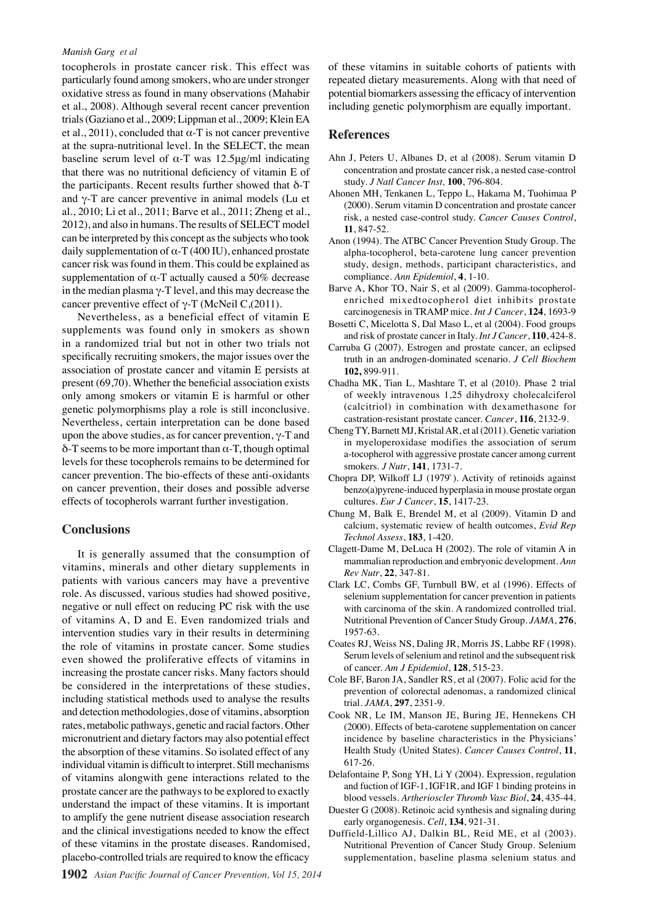tocopherols in prostate cancer risk. This effect was particularly found among smokers, who are under stronger oxidative stress as found in many observations (Mahabir et al., 2008). Although several recent cancer prevention trials (Gaziano et al., 2009; Lippman et al., 2009; Klein EA et al., 2011), concluded that  $\alpha$ -T is not cancer preventive at the supra-nutritional level. In the SELECT, the mean baseline serum level of  $\alpha$ -T was 12.5μg/ml indicating that there was no nutritional deficiency of vitamin E of the participants. Recent results further showed that  $δ$ -T and γ-T are cancer preventive in animal models (Lu et al., 2010; Li et al., 2011; Barve et al., 2011; Zheng et al., 2012), and also in humans. The results of SELECT model can be interpreted by this concept as the subjects who took daily supplementation of  $\alpha$ -T (400 IU), enhanced prostate cancer risk was found in them. This could be explained as supplementation of  $\alpha$ -T actually caused a 50% decrease in the median plasma  $\gamma$ -T level, and this may decrease the cancer preventive effect of  $γ$ -T (McNeil C,(2011).

Nevertheless, as a beneficial effect of vitamin E supplements was found only in smokers as shown in a randomized trial but not in other two trials not specifically recruiting smokers, the major issues over the association of prostate cancer and vitamin E persists at present (69,70). Whether the beneficial association exists only among smokers or vitamin E is harmful or other genetic polymorphisms play a role is still inconclusive. Nevertheless, certain interpretation can be done based upon the above studies, as for cancer prevention,  $\gamma$ -T and  $\delta$ -T seems to be more important than  $\alpha$ -T, though optimal levels for these tocopherols remains to be determined for cancer prevention. The bio-effects of these anti-oxidants on cancer prevention, their doses and possible adverse effects of tocopherols warrant further investigation.

### **Conclusions**

It is generally assumed that the consumption of vitamins, minerals and other dietary supplements in patients with various cancers may have a preventive role. As discussed, various studies had showed positive, negative or null effect on reducing PC risk with the use of vitamins A, D and E. Even randomized trials and intervention studies vary in their results in determining the role of vitamins in prostate cancer. Some studies even showed the proliferative effects of vitamins in increasing the prostate cancer risks. Many factors should be considered in the interpretations of these studies, including statistical methods used to analyse the results and detection methodologies, dose of vitamins, absorption rates, metabolic pathways, genetic and racial factors. Other micronutrient and dietary factors may also potential effect the absorption of these vitamins. So isolated effect of any individual vitamin is difficult to interpret. Still mechanisms of vitamins alongwith gene interactions related to the prostate cancer are the pathways to be explored to exactly understand the impact of these vitamins. It is important to amplify the gene nutrient disease association research and the clinical investigations needed to know the effect of these vitamins in the prostate diseases. Randomised, placebo-controlled trials are required to know the efficacy

of these vitamins in suitable cohorts of patients with repeated dietary measurements. Along with that need of potential biomarkers assessing the efficacy of intervention including genetic polymorphism are equally important.

#### **References**

- Ahn J, Peters U, Albanes D, et al (2008). Serum vitamin D concentration and prostate cancer risk, a nested case-control study. *J Natl Cancer Inst,* **100**, 796-804.
- Ahonen MH, Tenkanen L, Teppo L, Hakama M, Tuohimaa P (2000). Serum vitamin D concentration and prostate cancer risk, a nested case-control study. *Cancer Causes Control*, **11**, 847-52.
- Anon (1994). The ATBC Cancer Prevention Study Group. The alpha-tocopherol, beta-carotene lung cancer prevention study, design, methods, participant characteristics, and compliance. *Ann Epidemiol*, **4**, 1-10.
- Barve A, Khor TO, Nair S, et al (2009). Gamma-tocopherolenriched mixedtocopherol diet inhibits prostate carcinogenesis in TRAMP mice. *Int J Cancer*, **124**, 1693-9
- Bosetti C, Micelotta S, Dal Maso L, et al (2004). Food groups and risk of prostate cancer in Italy. *Int J Cancer*, **110**, 424-8.
- Carruba G (2007). Estrogen and prostate cancer, an eclipsed truth in an androgen-dominated scenario. *J Cell Biochem* **102,** 899-911.
- Chadha MK, Tian L, Mashtare T, et al (2010). Phase 2 trial of weekly intravenous 1,25 dihydroxy cholecalciferol (calcitriol) in combination with dexamethasone for castration-resistant prostate cancer. *Cancer*, **116**, 2132-9.
- Cheng TY, Barnett MJ, Kristal AR, et al (2011). Genetic variation in myeloperoxidase modifies the association of serum a-tocopherol with aggressive prostate cancer among current smokers. *J Nutr*, **141**, 1731-7.
- Chopra DP, Wilkoff LJ (1979`). Activity of retinoids against benzo(a)pyrene-induced hyperplasia in mouse prostate organ cultures. *Eur J Cancer*, **15**, 1417-23.
- Chung M, Balk E, Brendel M, et al (2009). Vitamin D and calcium, systematic review of health outcomes, *Evid Rep Technol Assess*, **183**, 1-420.
- Clagett-Dame M, DeLuca H (2002). The role of vitamin A in mammalian reproduction and embryonic development. *Ann Rev Nutr*, **22**, 347-81.
- Clark LC, Combs GF, Turnbull BW, et al (1996). Effects of selenium supplementation for cancer prevention in patients with carcinoma of the skin. A randomized controlled trial. Nutritional Prevention of Cancer Study Group. *JAMA*, **276**, 1957-63.
- Coates RJ, Weiss NS, Daling JR, Morris JS, Labbe RF (1998). Serum levels of selenium and retinol and the subsequent risk of cancer. *Am J Epidemiol*, **128**, 515-23.
- Cole BF, Baron JA, Sandler RS, et al (2007). Folic acid for the prevention of colorectal adenomas, a randomized clinical trial. *JAMA*, **297**, 2351-9.
- Cook NR, Le IM, Manson JE, Buring JE, Hennekens CH (2000). Effects of beta-carotene supplementation on cancer incidence by baseline characteristics in the Physicians' Health Study (United States). *Cancer Causes Control*, **11**, 617-26.
- Delafontaine P, Song YH, Li Y (2004). Expression, regulation and fuction of IGF-1, IGF1R, and IGF 1 binding proteins in blood vessels. *Artherioscler Thromb Vasc Biol*, **24**, 435-44.
- Duester G (2008). Retinoic acid synthesis and signaling during early organogenesis. *Cell*, **134**, 921-31.
- Duffield-Lillico AJ, Dalkin BL, Reid ME, et al (2003). Nutritional Prevention of Cancer Study Group. Selenium supplementation, baseline plasma selenium status and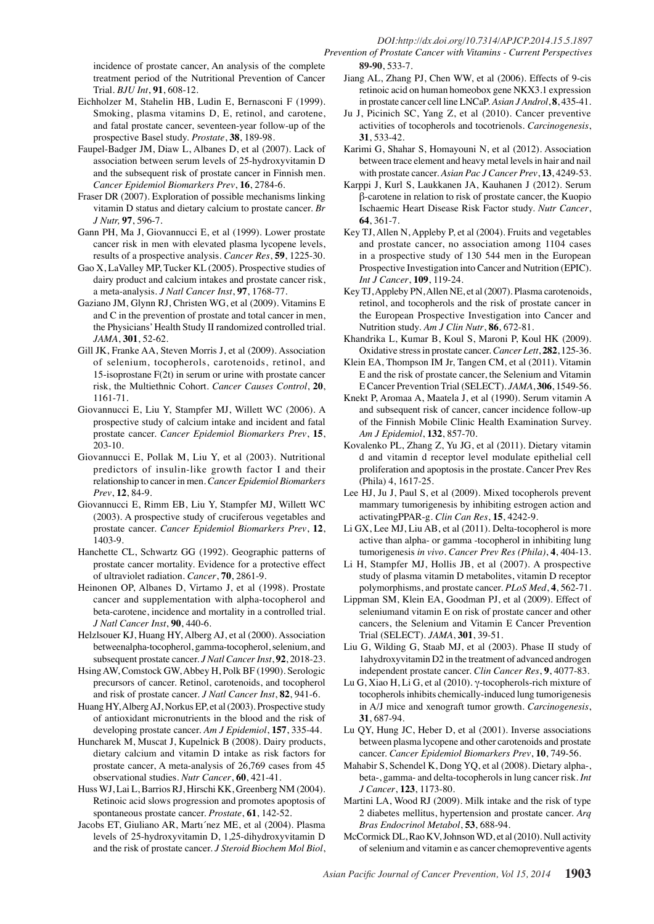incidence of prostate cancer, An analysis of the complete treatment period of the Nutritional Prevention of Cancer Trial. *BJU Int*, **91**, 608-12.

- Eichholzer M, Stahelin HB, Ludin E, Bernasconi F (1999). Smoking, plasma vitamins D, E, retinol, and carotene, and fatal prostate cancer, seventeen-year follow-up of the prospective Basel study. *Prostate*, **38**, 189-98.
- Faupel-Badger JM, Diaw L, Albanes D, et al (2007). Lack of association between serum levels of 25-hydroxyvitamin D and the subsequent risk of prostate cancer in Finnish men. *Cancer Epidemiol Biomarkers Prev*, **16**, 2784-6.
- Fraser DR (2007). Exploration of possible mechanisms linking vitamin D status and dietary calcium to prostate cancer. *Br J Nutr,* **97**, 596-7.
- Gann PH, Ma J, Giovannucci E, et al (1999). Lower prostate cancer risk in men with elevated plasma lycopene levels, results of a prospective analysis. *Cancer Res*, **59**, 1225-30.
- Gao X, LaValley MP, Tucker KL (2005). Prospective studies of dairy product and calcium intakes and prostate cancer risk, a meta-analysis. *J Natl Cancer Inst*, **97**, 1768-77.
- Gaziano JM, Glynn RJ, Christen WG, et al (2009). Vitamins E and C in the prevention of prostate and total cancer in men, the Physicians' Health Study II randomized controlled trial. *JAMA*, **301**, 52-62.
- Gill JK, Franke AA, Steven Morris J, et al (2009). Association of selenium, tocopherols, carotenoids, retinol, and 15-isoprostane F(2t) in serum or urine with prostate cancer risk, the Multiethnic Cohort. *Cancer Causes Control*, **20**, 1161-71.
- Giovannucci E, Liu Y, Stampfer MJ, Willett WC (2006). A prospective study of calcium intake and incident and fatal prostate cancer. *Cancer Epidemiol Biomarkers Prev*, **15**, 203-10.
- Giovannucci E, Pollak M, Liu Y, et al (2003). Nutritional predictors of insulin-like growth factor I and their relationship to cancer in men. *Cancer Epidemiol Biomarkers Prev*, **12**, 84-9.
- Giovannucci E, Rimm EB, Liu Y, Stampfer MJ, Willett WC (2003). A prospective study of cruciferous vegetables and prostate cancer. *Cancer Epidemiol Biomarkers Prev*, **12**, 1403-9.
- Hanchette CL, Schwartz GG (1992). Geographic patterns of prostate cancer mortality. Evidence for a protective effect of ultraviolet radiation. *Cancer*, **70**, 2861-9.
- Heinonen OP, Albanes D, Virtamo J, et al (1998). Prostate cancer and supplementation with alpha-tocopherol and beta-carotene, incidence and mortality in a controlled trial. *J Natl Cancer Inst*, **90**, 440-6.
- Helzlsouer KJ, Huang HY, Alberg AJ, et al (2000). Association betweenalpha-tocopherol, gamma-tocopherol, selenium, and subsequent prostate cancer. *J Natl Cancer Inst*, **92**, 2018-23.
- Hsing AW, Comstock GW, Abbey H, Polk BF (1990). Serologic precursors of cancer. Retinol, carotenoids, and tocopherol and risk of prostate cancer. *J Natl Cancer Inst*, **82**, 941-6.
- Huang HY, Alberg AJ, Norkus EP, et al (2003). Prospective study of antioxidant micronutrients in the blood and the risk of developing prostate cancer. *Am J Epidemiol*, **157**, 335-44.
- Huncharek M, Muscat J, Kupelnick B (2008). Dairy products, dietary calcium and vitamin D intake as risk factors for prostate cancer, A meta-analysis of 26,769 cases from 45 observational studies. *Nutr Cancer*, **60**, 421-41.
- Huss WJ, Lai L, Barrios RJ, Hirschi KK, Greenberg NM (2004). Retinoic acid slows progression and promotes apoptosis of spontaneous prostate cancer. *Prostate*, **61**, 142-52.
- Jacobs ET, Giuliano AR, Martı´nez ME, et al (2004). Plasma levels of 25-hydroxyvitamin D, 1,25-dihydroxyvitamin D and the risk of prostate cancer. *J Steroid Biochem Mol Biol*,
- **89-90**, 533-7. Jiang AL, Zhang PJ, Chen WW, et al (2006). Effects of 9-cis retinoic acid on human homeobox gene NKX3.1 expression in prostate cancer cell line LNCaP. *Asian J Androl*, **8**, 435-41.
- Ju J, Picinich SC, Yang Z, et al (2010). Cancer preventive activities of tocopherols and tocotrienols. *Carcinogenesis*, **31**, 533-42.
- Karimi G, Shahar S, Homayouni N, et al (2012). Association between trace element and heavy metal levels in hair and nail with prostate cancer. *Asian Pac J Cancer Prev*, **13**, 4249-53.
- Karppi J, Kurl S, Laukkanen JA, Kauhanen J (2012). Serum β-carotene in relation to risk of prostate cancer, the Kuopio Ischaemic Heart Disease Risk Factor study. *Nutr Cancer*, **64**, 361-7.
- Key TJ, Allen N, Appleby P, et al (2004). Fruits and vegetables and prostate cancer, no association among 1104 cases in a prospective study of 130 544 men in the European Prospective Investigation into Cancer and Nutrition (EPIC). *Int J Cancer*, **109**, 119-24.
- Key TJ, Appleby PN, Allen NE, et al (2007). Plasma carotenoids, retinol, and tocopherols and the risk of prostate cancer in the European Prospective Investigation into Cancer and Nutrition study. *Am J Clin Nutr*, **86**, 672-81.
- Khandrika L, Kumar B, Koul S, Maroni P, Koul HK (2009). Oxidative stress in prostate cancer. *Cancer Lett*, **282**, 125-36.
- Klein EA, Thompson IM Jr, Tangen CM, et al (2011). Vitamin E and the risk of prostate cancer, the Selenium and Vitamin E Cancer Prevention Trial (SELECT). *JAMA*, **306**, 1549-56.
- Knekt P, Aromaa A, Maatela J, et al (1990). Serum vitamin A and subsequent risk of cancer, cancer incidence follow-up of the Finnish Mobile Clinic Health Examination Survey. *Am J Epidemiol*, **132**, 857-70.
- Kovalenko PL, Zhang Z, Yu JG, et al (2011). Dietary vitamin d and vitamin d receptor level modulate epithelial cell proliferation and apoptosis in the prostate. Cancer Prev Res (Phila) 4, 1617-25.
- Lee HJ, Ju J, Paul S, et al (2009). Mixed tocopherols prevent mammary tumorigenesis by inhibiting estrogen action and activatingPPAR-g. *Clin Can Res*, **15**, 4242-9.
- Li GX, Lee MJ, Liu AB, et al (2011). Delta-tocopherol is more active than alpha- or gamma -tocopherol in inhibiting lung tumorigenesis *in vivo*. *Cancer Prev Res (Phila)*, **4**, 404-13.
- Li H, Stampfer MJ, Hollis JB, et al (2007). A prospective study of plasma vitamin D metabolites, vitamin D receptor polymorphisms, and prostate cancer. *PLoS Med*, **4**, 562-71.
- Lippman SM, Klein EA, Goodman PJ, et al (2009). Effect of seleniumand vitamin E on risk of prostate cancer and other cancers, the Selenium and Vitamin E Cancer Prevention Trial (SELECT). *JAMA*, **301**, 39-51.
- Liu G, Wilding G, Staab MJ, et al (2003). Phase II study of 1ahydroxyvitamin D2 in the treatment of advanced androgen independent prostate cancer. *Clin Cancer Res*, **9**, 4077-83.
- Lu G, Xiao H, Li G, et al (2010). γ-tocopherols-rich mixture of tocopherols inhibits chemically-induced lung tumorigenesis in A/J mice and xenograft tumor growth. *Carcinogenesis*, **31**, 687-94.
- Lu QY, Hung JC, Heber D, et al (2001). Inverse associations between plasma lycopene and other carotenoids and prostate cancer. *Cancer Epidemiol Biomarkers Prev*, **10**, 749-56.
- Mahabir S, Schendel K, Dong YQ, et al (2008). Dietary alpha-, beta-, gamma- and delta-tocopherols in lung cancer risk. *Int J Cancer*, **123**, 1173-80.
- Martini LA, Wood RJ (2009). Milk intake and the risk of type 2 diabetes mellitus, hypertension and prostate cancer. *Arq Bras Endocrinol Metabol*, **53**, 688-94.
- McCormick DL, Rao KV, Johnson WD, et al (2010). Null activity of selenium and vitamin e as cancer chemopreventive agents